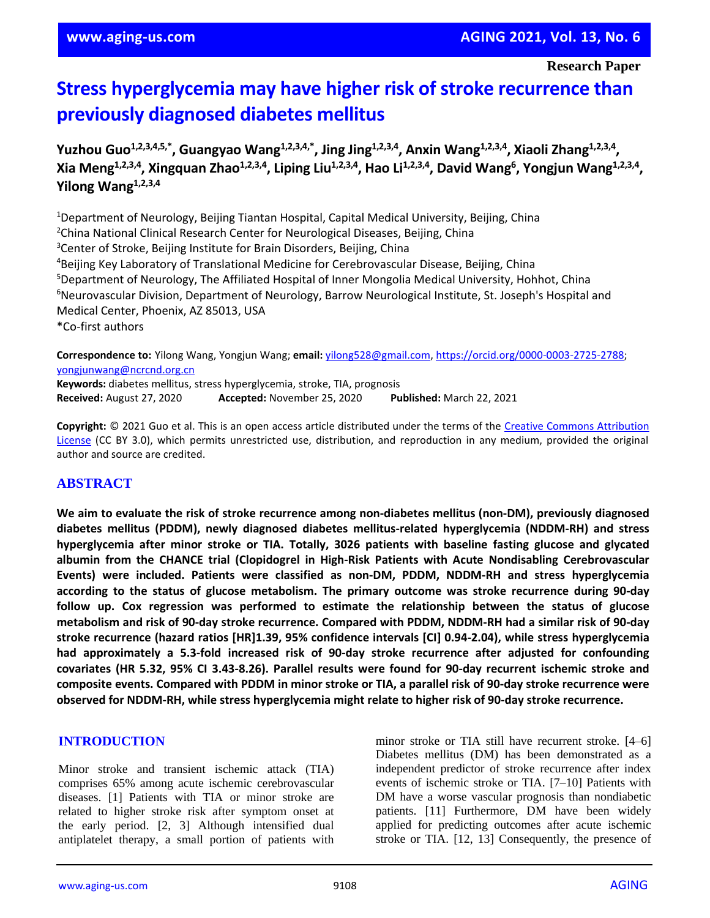**Research Paper**

# **Stress hyperglycemia may have higher risk of stroke recurrence than previously diagnosed diabetes mellitus**

**Yuzhou Guo1,2,3,4,5,\* , Guangyao Wang1,2,3,4,\*, Jing Jing1,2,3,4 , Anxin Wang1,2,3,4, Xiaoli Zhang1,2,3,4 , Xia Meng1,2,3,4 , Xingquan Zhao1,2,3,4, Liping Liu1,2,3,4, Hao Li1,2,3,4, David Wang<sup>6</sup> , Yongjun Wang1,2,3,4 , Yilong Wang1,2,3,4**

<sup>1</sup>Department of Neurology, Beijing Tiantan Hospital, Capital Medical University, Beijing, China <sup>2</sup>China National Clinical Research Center for Neurological Diseases, Beijing, China <sup>3</sup>Center of Stroke, Beijing Institute for Brain Disorders, Beijing, China <sup>4</sup>Beijing Key Laboratory of Translational Medicine for Cerebrovascular Disease, Beijing, China <sup>5</sup>Department of Neurology, The Affiliated Hospital of Inner Mongolia Medical University, Hohhot, China <sup>6</sup>Neurovascular Division, Department of Neurology, Barrow Neurological Institute, St. Joseph's Hospital and Medical Center, Phoenix, AZ 85013, USA \*Co-first authors

**Correspondence to:** Yilong Wang, Yongjun Wang; **email:** [yilong528@gmail.com,](mailto:yilong528@gmail.com) [https://orcid.org/0000-0003-2725-2788;](https://orcid.org/0000-0003-2725-2788) [yongjunwang@ncrcnd.org.cn](mailto:yongjunwang@ncrcnd.org.cn) **Keywords:** diabetes mellitus, stress hyperglycemia, stroke, TIA, prognosis **Received:** August 27, 2020 **Accepted:** November 25, 2020 **Published:** March 22, 2021

**Copyright:** © 2021 Guo et al. This is an open access article distributed under the terms of the [Creative Commons Attribution](https://creativecommons.org/licenses/by/3.0/)  [License](https://creativecommons.org/licenses/by/3.0/) (CC BY 3.0), which permits unrestricted use, distribution, and reproduction in any medium, provided the original author and source are credited.

# **ABSTRACT**

**We aim to evaluate the risk of stroke recurrence among non-diabetes mellitus (non-DM), previously diagnosed diabetes mellitus (PDDM), newly diagnosed diabetes mellitus-related hyperglycemia (NDDM-RH) and stress hyperglycemia after minor stroke or TIA. Totally, 3026 patients with baseline fasting glucose and glycated albumin from the CHANCE trial (Clopidogrel in High-Risk Patients with Acute Nondisabling Cerebrovascular Events) were included. Patients were classified as non-DM, PDDM, NDDM-RH and stress hyperglycemia according to the status of glucose metabolism. The primary outcome was stroke recurrence during 90-day follow up. Cox regression was performed to estimate the relationship between the status of glucose metabolism and risk of 90-day stroke recurrence. Compared with PDDM, NDDM-RH had a similar risk of 90-day stroke recurrence (hazard ratios [HR]1.39, 95% confidence intervals [CI] 0.94-2.04), while stress hyperglycemia had approximately a 5.3-fold increased risk of 90-day stroke recurrence after adjusted for confounding covariates (HR 5.32, 95% CI 3.43-8.26). Parallel results were found for 90-day recurrent ischemic stroke and** composite events. Compared with PDDM in minor stroke or TIA, a parallel risk of 90-day stroke recurrence were **observed for NDDM-RH, while stress hyperglycemia might relate to higher risk of 90-day stroke recurrence.**

#### **INTRODUCTION**

Minor stroke and transient ischemic attack (TIA) comprises 65% among acute ischemic cerebrovascular diseases. [1] Patients with TIA or minor stroke are related to higher stroke risk after symptom onset at the early period. [2, 3] Although intensified dual antiplatelet therapy, a small portion of patients with minor stroke or TIA still have recurrent stroke. [4–6] Diabetes mellitus (DM) has been demonstrated as a independent predictor of stroke recurrence after index events of ischemic stroke or TIA. [7–10] Patients with DM have a worse vascular prognosis than nondiabetic patients. [11] Furthermore, DM have been widely applied for predicting outcomes after acute ischemic stroke or TIA. [12, 13] Consequently, the presence of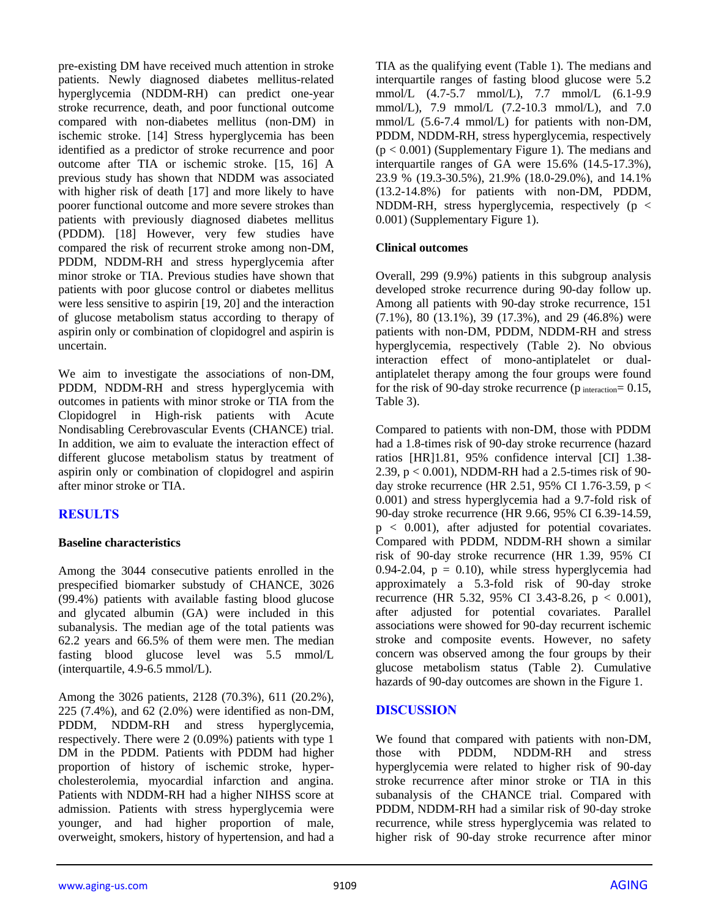pre-existing DM have received much attention in stroke patients. Newly diagnosed diabetes mellitus-related hyperglycemia (NDDM-RH) can predict one-year stroke recurrence, death, and poor functional outcome compared with non-diabetes mellitus (non-DM) in ischemic stroke. [14] Stress hyperglycemia has been identified as a predictor of stroke recurrence and poor outcome after TIA or ischemic stroke. [15, 16] A previous study has shown that NDDM was associated with higher risk of death [17] and more likely to have poorer functional outcome and more severe strokes than patients with previously diagnosed diabetes mellitus (PDDM). [18] However, very few studies have compared the risk of recurrent stroke among non-DM, PDDM, NDDM-RH and stress hyperglycemia after minor stroke or TIA. Previous studies have shown that patients with poor glucose control or diabetes mellitus were less sensitive to aspirin [19, 20] and the interaction of glucose metabolism status according to therapy of aspirin only or combination of clopidogrel and aspirin is uncertain.

We aim to investigate the associations of non-DM, PDDM, NDDM-RH and stress hyperglycemia with outcomes in patients with minor stroke or TIA from the Clopidogrel in High-risk patients with Acute Nondisabling Cerebrovascular Events (CHANCE) trial. In addition, we aim to evaluate the interaction effect of different glucose metabolism status by treatment of aspirin only or combination of clopidogrel and aspirin after minor stroke or TIA.

# **RESULTS**

#### **Baseline characteristics**

Among the 3044 consecutive patients enrolled in the prespecified biomarker substudy of CHANCE, 3026 (99.4%) patients with available fasting blood glucose and glycated albumin (GA) were included in this subanalysis. The median age of the total patients was 62.2 years and 66.5% of them were men. The median fasting blood glucose level was 5.5 mmol/L (interquartile, 4.9-6.5 mmol/L).

Among the 3026 patients, 2128 (70.3%), 611 (20.2%), 225 (7.4%), and 62 (2.0%) were identified as non-DM, PDDM, NDDM-RH and stress hyperglycemia, respectively. There were 2 (0.09%) patients with type 1 DM in the PDDM. Patients with PDDM had higher proportion of history of ischemic stroke, hypercholesterolemia, myocardial infarction and angina. Patients with NDDM-RH had a higher NIHSS score at admission. Patients with stress hyperglycemia were younger, and had higher proportion of male, overweight, smokers, history of hypertension, and had a

TIA as the qualifying event (Table 1). The medians and interquartile ranges of fasting blood glucose were 5.2 mmol/L (4.7-5.7 mmol/L), 7.7 mmol/L (6.1-9.9 mmol/L), 7.9 mmol/L (7.2-10.3 mmol/L), and 7.0 mmol/L (5.6-7.4 mmol/L) for patients with non-DM, PDDM, NDDM-RH, stress hyperglycemia, respectively  $(p < 0.001)$  (Supplementary Figure 1). The medians and interquartile ranges of GA were 15.6% (14.5-17.3%), 23.9 % (19.3-30.5%), 21.9% (18.0-29.0%), and 14.1% (13.2-14.8%) for patients with non-DM, PDDM, NDDM-RH, stress hyperglycemia, respectively ( $p <$ 0.001) (Supplementary Figure 1).

#### **Clinical outcomes**

Overall, 299 (9.9%) patients in this subgroup analysis developed stroke recurrence during 90-day follow up. Among all patients with 90-day stroke recurrence, 151 (7.1%), 80 (13.1%), 39 (17.3%), and 29 (46.8%) were patients with non-DM, PDDM, NDDM-RH and stress hyperglycemia, respectively (Table 2). No obvious interaction effect of mono-antiplatelet or dualantiplatelet therapy among the four groups were found for the risk of 90-day stroke recurrence ( $p_{interaction} = 0.15$ , Table 3).

Compared to patients with non-DM, those with PDDM had a 1.8-times risk of 90-day stroke recurrence (hazard ratios [HR]1.81, 95% confidence interval [CI] 1.38- 2.39, p < 0.001), NDDM-RH had a 2.5-times risk of 90 day stroke recurrence (HR 2.51, 95% CI 1.76-3.59,  $p <$ 0.001) and stress hyperglycemia had a 9.7-fold risk of 90-day stroke recurrence (HR 9.66, 95% CI 6.39-14.59,  $p < 0.001$ ), after adjusted for potential covariates. Compared with PDDM, NDDM-RH shown a similar risk of 90-day stroke recurrence (HR 1.39, 95% CI 0.94-2.04,  $p = 0.10$ , while stress hyperglycemia had approximately a 5.3-fold risk of 90-day stroke recurrence (HR 5.32, 95% CI 3.43-8.26,  $p < 0.001$ ), after adjusted for potential covariates. Parallel associations were showed for 90-day recurrent ischemic stroke and composite events. However, no safety concern was observed among the four groups by their glucose metabolism status (Table 2). Cumulative hazards of 90-day outcomes are shown in the Figure 1.

#### **DISCUSSION**

We found that compared with patients with non-DM, those with PDDM, NDDM-RH and stress hyperglycemia were related to higher risk of 90-day stroke recurrence after minor stroke or TIA in this subanalysis of the CHANCE trial. Compared with PDDM, NDDM-RH had a similar risk of 90-day stroke recurrence, while stress hyperglycemia was related to higher risk of 90-day stroke recurrence after minor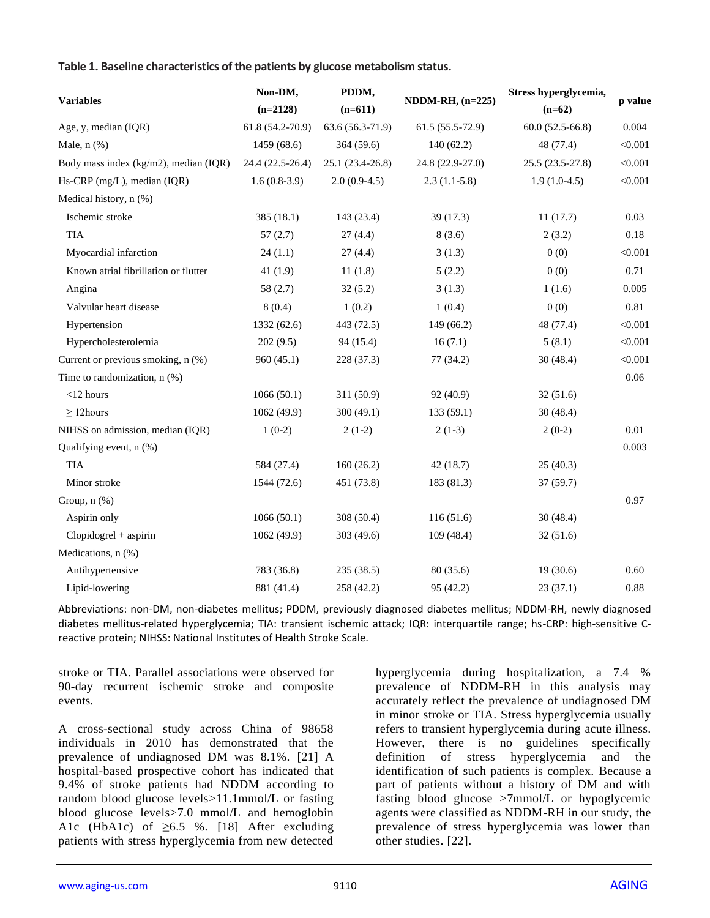|  |  | Table 1. Baseline characteristics of the patients by glucose metabolism status. |  |  |  |  |  |  |
|--|--|---------------------------------------------------------------------------------|--|--|--|--|--|--|
|--|--|---------------------------------------------------------------------------------|--|--|--|--|--|--|

| <b>Variables</b>                      | Non-DM,<br>PDDM,<br>$(n=2128)$<br>$(n=611)$ |                  | $NDDM-RH, (n=225)$ | Stress hyperglycemia,<br>$(n=62)$ | p value |
|---------------------------------------|---------------------------------------------|------------------|--------------------|-----------------------------------|---------|
| Age, y, median (IQR)                  | 61.8 (54.2-70.9)                            | 63.6 (56.3-71.9) | $61.5(55.5-72.9)$  | $60.0(52.5-66.8)$                 | 0.004   |
| Male, $n$ $(\%)$                      | 1459 (68.6)                                 | 364 (59.6)       | 140(62.2)          | 48 (77.4)                         | < 0.001 |
| Body mass index (kg/m2), median (IQR) | 24.4 (22.5-26.4)                            | 25.1 (23.4-26.8) | 24.8 (22.9-27.0)   | 25.5 (23.5-27.8)                  | < 0.001 |
| Hs-CRP (mg/L), median (IQR)           | $1.6(0.8-3.9)$                              | $2.0(0.9-4.5)$   | $2.3(1.1-5.8)$     | $1.9(1.0-4.5)$                    | < 0.001 |
| Medical history, n (%)                |                                             |                  |                    |                                   |         |
| Ischemic stroke                       | 385 (18.1)                                  | 143 (23.4)       | 39(17.3)           | 11(17.7)                          | 0.03    |
| <b>TIA</b>                            | 57(2.7)                                     | 27(4.4)          | 8(3.6)             | 2(3.2)                            | 0.18    |
| Myocardial infarction                 | 24(1.1)                                     | 27(4.4)          | 3(1.3)             | 0(0)                              | < 0.001 |
| Known atrial fibrillation or flutter  | 41 $(1.9)$                                  | 11(1.8)          | 5(2.2)             | 0(0)                              | 0.71    |
| Angina                                | 58 (2.7)                                    | 32(5.2)          | 3(1.3)             | 1(1.6)                            | 0.005   |
| Valvular heart disease                | 8(0.4)                                      | 1(0.2)           | 1(0.4)             | 0(0)                              | 0.81    |
| Hypertension                          | 1332 (62.6)                                 | 443 (72.5)       | 149(66.2)          | 48 (77.4)                         | < 0.001 |
| Hypercholesterolemia                  | 202(9.5)                                    | 94 (15.4)        | 16(7.1)            | 5(8.1)                            | < 0.001 |
| Current or previous smoking, n (%)    | 960(45.1)                                   | 228 (37.3)       | 77 (34.2)          | 30(48.4)                          | < 0.001 |
| Time to randomization, n (%)          |                                             |                  |                    |                                   | 0.06    |
| $<$ 12 hours                          | 1066(50.1)                                  | 311 (50.9)       | 92 (40.9)          | 32(51.6)                          |         |
| $\geq$ 12 hours                       | 1062 (49.9)                                 | 300 (49.1)       | 133 (59.1)         | 30(48.4)                          |         |
| NIHSS on admission, median (IQR)      | $1(0-2)$                                    | $2(1-2)$         | $2(1-3)$           | $2(0-2)$                          | 0.01    |
| Qualifying event, n (%)               |                                             |                  |                    |                                   | 0.003   |
| <b>TIA</b>                            | 584 (27.4)                                  | 160(26.2)        | 42(18.7)           | 25(40.3)                          |         |
| Minor stroke                          | 1544 (72.6)                                 | 451 (73.8)       | 183 (81.3)         | 37(59.7)                          |         |
| Group, $n$ $%$                        |                                             |                  |                    |                                   | 0.97    |
| Aspirin only                          | 1066(50.1)                                  | 308 (50.4)       | 116(51.6)          | 30(48.4)                          |         |
| $Clopidogrel + aspirin$               | 1062 (49.9)                                 | 303 (49.6)       | 109(48.4)          | 32(51.6)                          |         |
| Medications, n (%)                    |                                             |                  |                    |                                   |         |
| Antihypertensive                      | 783 (36.8)                                  | 235 (38.5)       | 80 (35.6)          | 19(30.6)                          | 0.60    |
| Lipid-lowering                        | 881 (41.4)                                  | 258 (42.2)       | 95 (42.2)          | 23(37.1)                          | 0.88    |

Abbreviations: non-DM, non-diabetes mellitus; PDDM, previously diagnosed diabetes mellitus; NDDM-RH, newly diagnosed diabetes mellitus-related hyperglycemia; TIA: transient ischemic attack; IQR: interquartile range; hs-CRP: high-sensitive Creactive protein; NIHSS: National Institutes of Health Stroke Scale.

stroke or TIA. Parallel associations were observed for 90-day recurrent ischemic stroke and composite events.

A cross-sectional study across China of 98658 individuals in 2010 has demonstrated that the prevalence of undiagnosed DM was 8.1%. [21] A hospital-based prospective cohort has indicated that 9.4% of stroke patients had NDDM according to random blood glucose levels>11.1mmol/L or fasting blood glucose levels>7.0 mmol/L and hemoglobin A1c (HbA1c) of  $\geq 6.5$  %. [18] After excluding patients with stress hyperglycemia from new detected

hyperglycemia during hospitalization, a 7.4 % prevalence of NDDM-RH in this analysis may accurately reflect the prevalence of undiagnosed DM in minor stroke or TIA. Stress hyperglycemia usually refers to transient hyperglycemia during acute illness. However, there is no guidelines specifically definition of stress hyperglycemia and the identification of such patients is complex. Because a part of patients without a history of DM and with fasting blood glucose >7mmol/L or hypoglycemic agents were classified as NDDM-RH in our study, the prevalence of stress hyperglycemia was lower than other studies. [22].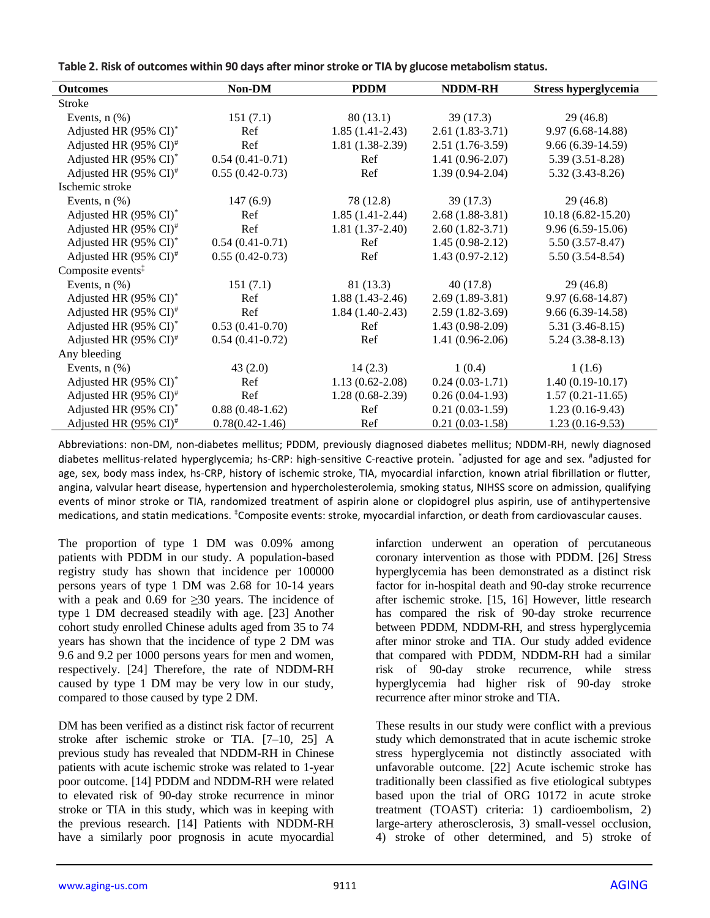| Table 2. Risk of outcomes within 90 days after minor stroke or TIA by glucose metabolism status. |  |
|--------------------------------------------------------------------------------------------------|--|
|--------------------------------------------------------------------------------------------------|--|

| <b>Outcomes</b>                      | Non-DM              | <b>PDDM</b>         | <b>NDDM-RH</b>    | Stress hyperglycemia  |
|--------------------------------------|---------------------|---------------------|-------------------|-----------------------|
| Stroke                               |                     |                     |                   |                       |
| Events, $n$ $(\%)$                   | 151(7.1)            | 80(13.1)            | 39(17.3)          | 29(46.8)              |
| Adjusted HR (95% CI)*                | Ref                 | $1.85(1.41-2.43)$   | $2.61(1.83-3.71)$ | $9.97(6.68-14.88)$    |
| Adjusted HR (95% CI) <sup>#</sup>    | Ref                 | $1.81(1.38-2.39)$   | $2.51(1.76-3.59)$ | $9.66(6.39-14.59)$    |
| Adjusted HR (95% CI) <sup>*</sup>    | $0.54(0.41-0.71)$   | Ref                 | $1.41(0.96-2.07)$ | $5.39(3.51-8.28)$     |
| Adjusted HR $(95\% \text{ CI})^{\#}$ | $0.55(0.42-0.73)$   | Ref                 | $1.39(0.94-2.04)$ | $5.32(3.43 - 8.26)$   |
| Ischemic stroke                      |                     |                     |                   |                       |
| Events, $n$ $(\%)$                   | 147(6.9)            | 78 (12.8)           | 39(17.3)          | 29(46.8)              |
| Adjusted HR (95% CI) <sup>*</sup>    | Ref                 | $1.85(1.41-2.44)$   | $2.68(1.88-3.81)$ | $10.18(6.82 - 15.20)$ |
| Adjusted HR $(95\% \text{ CI})^{\#}$ | Ref                 | $1.81(1.37-2.40)$   | $2.60(1.82-3.71)$ | $9.96(6.59-15.06)$    |
| Adjusted HR (95% CI) <sup>*</sup>    | $0.54(0.41-0.71)$   | Ref                 | $1.45(0.98-2.12)$ | $5.50(3.57 - 8.47)$   |
| Adjusted HR $(95\% \text{ CI})^{\#}$ | $0.55(0.42-0.73)$   | Ref                 | $1.43(0.97-2.12)$ | $5.50(3.54 - 8.54)$   |
| Composite events <sup>‡</sup>        |                     |                     |                   |                       |
| Events, $n$ $(\%)$                   | 151(7.1)            | 81(13.3)            | 40(17.8)          | 29(46.8)              |
| Adjusted HR (95% CI) <sup>*</sup>    | Ref                 | $1.88(1.43-2.46)$   | $2.69(1.89-3.81)$ | $9.97(6.68-14.87)$    |
| Adjusted HR $(95\% \text{ CI})^{\#}$ | Ref                 | $1.84(1.40-2.43)$   | $2.59(1.82-3.69)$ | $9.66(6.39-14.58)$    |
| Adjusted HR (95% CI)*                | $0.53(0.41-0.70)$   | Ref                 | $1.43(0.98-2.09)$ | $5.31(3.46-8.15)$     |
| Adjusted HR $(95\% \text{ CI})^{\#}$ | $0.54(0.41-0.72)$   | Ref                 | $1.41(0.96-2.06)$ | $5.24(3.38-8.13)$     |
| Any bleeding                         |                     |                     |                   |                       |
| Events, $n$ $(\%)$                   | 43(2.0)             | 14(2.3)             | 1(0.4)            | 1(1.6)                |
| Adjusted HR (95% CI)*                | Ref                 | $1.13(0.62 - 2.08)$ | $0.24(0.03-1.71)$ | $1.40(0.19-10.17)$    |
| Adjusted HR (95% CI) <sup>#</sup>    | Ref                 | $1.28(0.68-2.39)$   | $0.26(0.04-1.93)$ | $1.57(0.21 - 11.65)$  |
| Adjusted HR (95% CI)*                | $0.88(0.48-1.62)$   | Ref                 | $0.21(0.03-1.59)$ | $1.23(0.16-9.43)$     |
| Adjusted HR $(95\% \text{ CI})^{\#}$ | $0.78(0.42 - 1.46)$ | Ref                 | $0.21(0.03-1.58)$ | $1.23(0.16-9.53)$     |

Abbreviations: non-DM, non-diabetes mellitus; PDDM, previously diagnosed diabetes mellitus; NDDM-RH, newly diagnosed diabetes mellitus-related hyperglycemia; hs-CRP: high-sensitive C-reactive protein. \*adjusted for age and sex. #adjusted for age, sex, body mass index, hs-CRP, history of ischemic stroke, TIA, myocardial infarction, known atrial fibrillation or flutter, angina, valvular heart disease, hypertension and hypercholesterolemia, smoking status, NIHSS score on admission, qualifying events of minor stroke or TIA, randomized treatment of aspirin alone or clopidogrel plus aspirin, use of antihypertensive medications, and statin medications. <sup>‡</sup>Composite events: stroke, myocardial infarction, or death from cardiovascular causes.

The proportion of type 1 DM was 0.09% among patients with PDDM in our study. A population-based registry study has shown that incidence per 100000 persons years of type 1 DM was 2.68 for 10-14 years with a peak and 0.69 for  $\geq$ 30 years. The incidence of type 1 DM decreased steadily with age. [23] Another cohort study enrolled Chinese adults aged from 35 to 74 years has shown that the incidence of type 2 DM was 9.6 and 9.2 per 1000 persons years for men and women, respectively. [24] Therefore, the rate of NDDM-RH caused by type 1 DM may be very low in our study, compared to those caused by type 2 DM.

DM has been verified as a distinct risk factor of recurrent stroke after ischemic stroke or TIA. [7–10, 25] A previous study has revealed that NDDM-RH in Chinese patients with acute ischemic stroke was related to 1-year poor outcome. [14] PDDM and NDDM-RH were related to elevated risk of 90-day stroke recurrence in minor stroke or TIA in this study, which was in keeping with the previous research. [14] Patients with NDDM-RH have a similarly poor prognosis in acute myocardial infarction underwent an operation of percutaneous coronary intervention as those with PDDM. [26] Stress hyperglycemia has been demonstrated as a distinct risk factor for in-hospital death and 90-day stroke recurrence after ischemic stroke. [15, 16] However, little research has compared the risk of 90-day stroke recurrence between PDDM, NDDM-RH, and stress hyperglycemia after minor stroke and TIA. Our study added evidence that compared with PDDM, NDDM-RH had a similar risk of 90-day stroke recurrence, while stress hyperglycemia had higher risk of 90-day stroke recurrence after minor stroke and TIA.

These results in our study were conflict with a previous study which demonstrated that in acute ischemic stroke stress hyperglycemia not distinctly associated with unfavorable outcome. [22] Acute ischemic stroke has traditionally been classified as five etiological subtypes based upon the trial of ORG 10172 in acute stroke treatment (TOAST) criteria: 1) cardioembolism, 2) large-artery atherosclerosis, 3) small-vessel occlusion, 4) stroke of other determined, and 5) stroke of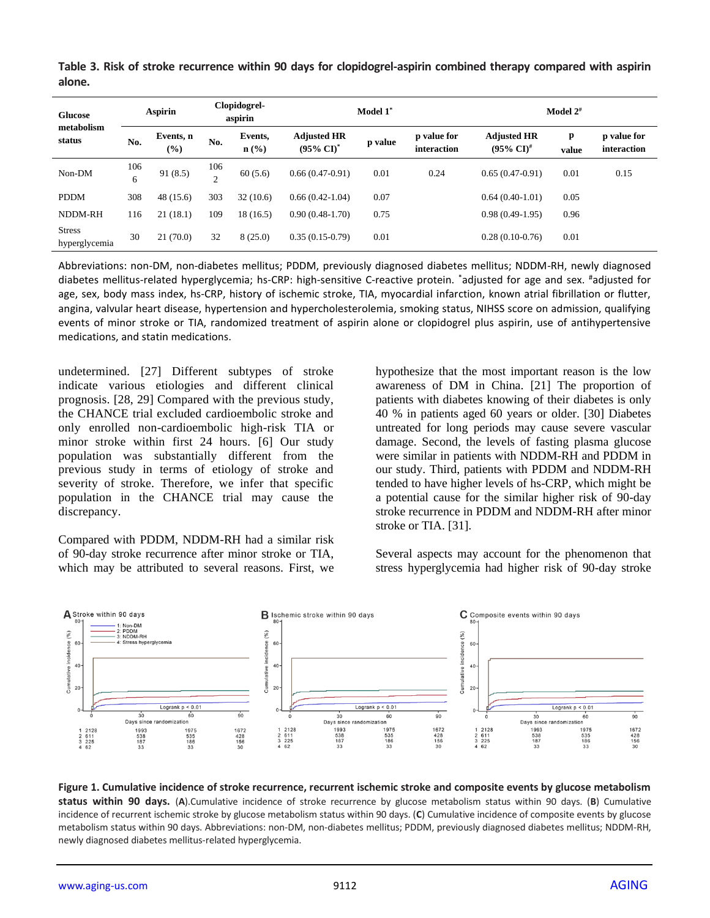| <b>Glucose</b><br>metabolism<br>status | <b>Aspirin</b> |                  | Clopidogrel-<br>aspirin |                | Model 1 <sup>*</sup>                        |         |                            | Model $2^{\#}$                                 |            |                            |
|----------------------------------------|----------------|------------------|-------------------------|----------------|---------------------------------------------|---------|----------------------------|------------------------------------------------|------------|----------------------------|
|                                        | No.            | Events, n<br>(%) | No.                     | Events,<br>n(% | <b>Adjusted HR</b><br>$(95\% \text{ CI})^*$ | p value | p value for<br>interaction | <b>Adjusted HR</b><br>$(95\% \text{ CI})^{\#}$ | p<br>value | p value for<br>interaction |
| Non-DM                                 | 106<br>6       | 91(8.5)          | 106<br>$\gamma$         | 60(5.6)        | $0.66(0.47-0.91)$                           | 0.01    | 0.24                       | $0.65(0.47-0.91)$                              | 0.01       | 0.15                       |
| <b>PDDM</b>                            | 308            | 48(15.6)         | 303                     | 32(10.6)       | $0.66(0.42-1.04)$                           | 0.07    |                            | $0.64(0.40-1.01)$                              | 0.05       |                            |
| NDDM-RH                                | 116            | 21(18.1)         | 109                     | 18(16.5)       | $0.90(0.48-1.70)$                           | 0.75    |                            | $0.98(0.49-1.95)$                              | 0.96       |                            |
| <b>Stress</b><br>hyperglycemia         | 30             | 21(70.0)         | 32                      | 8(25.0)        | $0.35(0.15-0.79)$                           | 0.01    |                            | $0.28(0.10-0.76)$                              | 0.01       |                            |

**Table 3. Risk of stroke recurrence within 90 days for clopidogrel-aspirin combined therapy compared with aspirin alone.**

Abbreviations: non-DM, non-diabetes mellitus; PDDM, previously diagnosed diabetes mellitus; NDDM-RH, newly diagnosed diabetes mellitus-related hyperglycemia; hs-CRP: high-sensitive C-reactive protein. \*adjusted for age and sex. #adjusted for age, sex, body mass index, hs-CRP, history of ischemic stroke, TIA, myocardial infarction, known atrial fibrillation or flutter, angina, valvular heart disease, hypertension and hypercholesterolemia, smoking status, NIHSS score on admission, qualifying events of minor stroke or TIA, randomized treatment of aspirin alone or clopidogrel plus aspirin, use of antihypertensive medications, and statin medications.

undetermined. [27] Different subtypes of stroke indicate various etiologies and different clinical prognosis. [28, 29] Compared with the previous study, the CHANCE trial excluded cardioembolic stroke and only enrolled non-cardioembolic high-risk TIA or minor stroke within first 24 hours. [6] Our study population was substantially different from the previous study in terms of etiology of stroke and severity of stroke. Therefore, we infer that specific population in the CHANCE trial may cause the discrepancy.

Compared with PDDM, NDDM-RH had a similar risk of 90-day stroke recurrence after minor stroke or TIA, which may be attributed to several reasons. First, we hypothesize that the most important reason is the low awareness of DM in China. [21] The proportion of patients with diabetes knowing of their diabetes is only 40 % in patients aged 60 years or older. [30] Diabetes untreated for long periods may cause severe vascular damage. Second, the levels of fasting plasma glucose were similar in patients with NDDM-RH and PDDM in our study. Third, patients with PDDM and NDDM-RH tended to have higher levels of hs-CRP, which might be a potential cause for the similar higher risk of 90-day stroke recurrence in PDDM and NDDM-RH after minor stroke or TIA. [31].

Several aspects may account for the phenomenon that stress hyperglycemia had higher risk of 90-day stroke



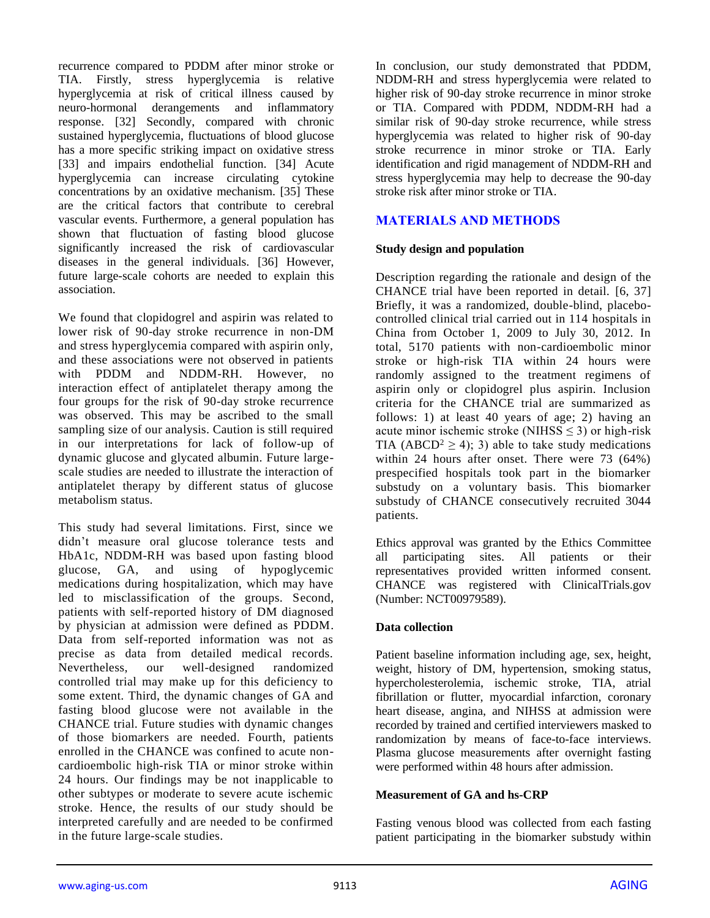recurrence compared to PDDM after minor stroke or TIA. Firstly, stress hyperglycemia is relative hyperglycemia at risk of critical illness caused by neuro-hormonal derangements and inflammatory response. [32] Secondly, compared with chronic sustained hyperglycemia, fluctuations of blood glucose has a more specific striking impact on oxidative stress [33] and impairs endothelial function. [34] Acute hyperglycemia can increase circulating cytokine concentrations by an oxidative mechanism. [35] These are the critical factors that contribute to cerebral vascular events. Furthermore, a general population has shown that fluctuation of fasting blood glucose significantly increased the risk of cardiovascular diseases in the general individuals. [36] However, future large-scale cohorts are needed to explain this association.

We found that clopidogrel and aspirin was related to lower risk of 90-day stroke recurrence in non-DM and stress hyperglycemia compared with aspirin only, and these associations were not observed in patients with PDDM and NDDM-RH. However, no interaction effect of antiplatelet therapy among the four groups for the risk of 90-day stroke recurrence was observed. This may be ascribed to the small sampling size of our analysis. Caution is still required in our interpretations for lack of follow-up of dynamic glucose and glycated albumin. Future largescale studies are needed to illustrate the interaction of antiplatelet therapy by different status of glucose metabolism status.

This study had several limitations. First, since we didn't measure oral glucose tolerance tests and HbA1c, NDDM-RH was based upon fasting blood glucose, GA, and using of hypoglycemic medications during hospitalization, which may have led to misclassification of the groups. Second, patients with self-reported history of DM diagnosed by physician at admission were defined as PDDM. Data from self-reported information was not as precise as data from detailed medical records. Nevertheless, our well-designed randomized controlled trial may make up for this deficiency to some extent. Third, the dynamic changes of GA and fasting blood glucose were not available in the CHANCE trial. Future studies with dynamic changes of those biomarkers are needed. Fourth, patients enrolled in the CHANCE was confined to acute noncardioembolic high-risk TIA or minor stroke within 24 hours. Our findings may be not inapplicable to other subtypes or moderate to severe acute ischemic stroke. Hence, the results of our study should be interpreted carefully and are needed to be confirmed in the future large-scale studies.

In conclusion, our study demonstrated that PDDM, NDDM-RH and stress hyperglycemia were related to higher risk of 90-day stroke recurrence in minor stroke or TIA. Compared with PDDM, NDDM-RH had a similar risk of 90-day stroke recurrence, while stress hyperglycemia was related to higher risk of 90-day stroke recurrence in minor stroke or TIA. Early identification and rigid management of NDDM-RH and stress hyperglycemia may help to decrease the 90-day stroke risk after minor stroke or TIA.

# **MATERIALS AND METHODS**

#### **Study design and population**

Description regarding the rationale and design of the CHANCE trial have been reported in detail. [6, 37] Briefly, it was a randomized, double-blind, placebocontrolled clinical trial carried out in 114 hospitals in China from October 1, 2009 to July 30, 2012. In total, 5170 patients with non-cardioembolic minor stroke or high-risk TIA within 24 hours were randomly assigned to the treatment regimens of aspirin only or clopidogrel plus aspirin. Inclusion criteria for the CHANCE trial are summarized as follows: 1) at least 40 years of age; 2) having an acute minor ischemic stroke (NIHSS  $\leq$  3) or high-risk TIA (ABCD<sup>2</sup>  $\geq$  4); 3) able to take study medications within 24 hours after onset. There were 73 (64%) prespecified hospitals took part in the biomarker substudy on a voluntary basis. This biomarker substudy of CHANCE consecutively recruited 3044 patients.

Ethics approval was granted by the Ethics Committee all participating sites. All patients or their representatives provided written informed consent. CHANCE was registered with ClinicalTrials.gov (Number: NCT00979589).

#### **Data collection**

Patient baseline information including age, sex, height, weight, history of DM, hypertension, smoking status, hypercholesterolemia, ischemic stroke, TIA, atrial fibrillation or flutter, myocardial infarction, coronary heart disease, angina, and NIHSS at admission were recorded by trained and certified interviewers masked to randomization by means of face-to-face interviews. Plasma glucose measurements after overnight fasting were performed within 48 hours after admission.

#### **Measurement of GA and hs-CRP**

Fasting venous blood was collected from each fasting patient participating in the biomarker substudy within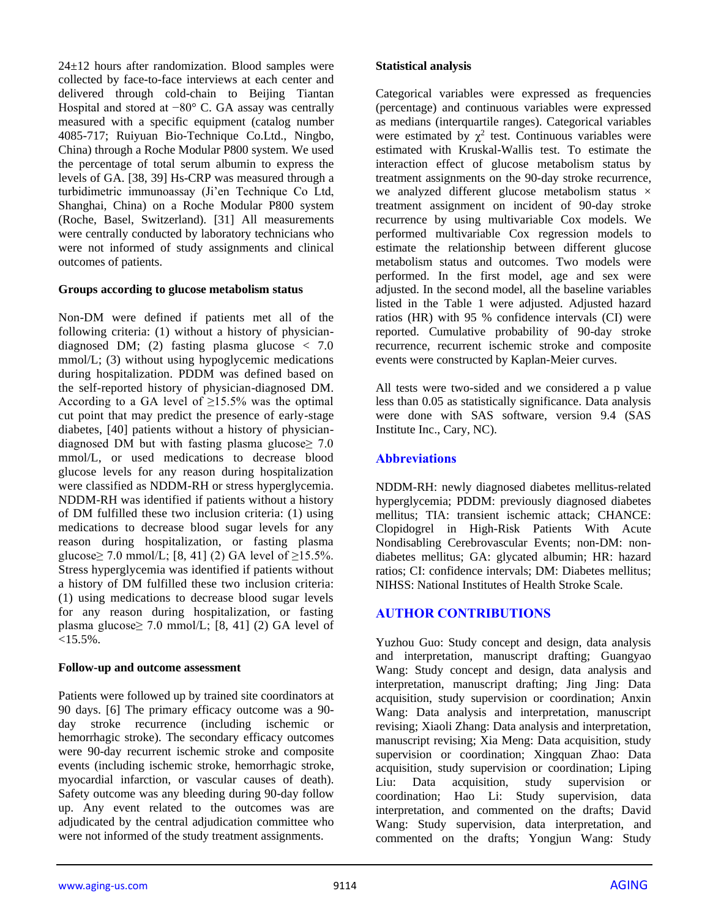24±12 hours after randomization. Blood samples were collected by face-to-face interviews at each center and delivered through cold-chain to Beijing Tiantan Hospital and stored at −80° C. GA assay was centrally measured with a specific equipment (catalog number 4085-717; Ruiyuan Bio-Technique Co.Ltd., Ningbo, China) through a Roche Modular P800 system. We used the percentage of total serum albumin to express the levels of GA. [38, 39] Hs-CRP was measured through a turbidimetric immunoassay (Ji'en Technique Co Ltd, Shanghai, China) on a Roche Modular P800 system (Roche, Basel, Switzerland). [31] All measurements were centrally conducted by laboratory technicians who were not informed of study assignments and clinical outcomes of patients.

#### **Groups according to glucose metabolism status**

Non-DM were defined if patients met all of the following criteria: (1) without a history of physiciandiagnosed DM; (2) fasting plasma glucose  $\langle 7.0 \rangle$ mmol/L; (3) without using hypoglycemic medications during hospitalization. PDDM was defined based on the self-reported history of physician-diagnosed DM. According to a GA level of  $\geq$ 15.5% was the optimal cut point that may predict the presence of early-stage diabetes, [40] patients without a history of physiciandiagnosed DM but with fasting plasma glucose $\geq 7.0$ mmol/L, or used medications to decrease blood glucose levels for any reason during hospitalization were classified as NDDM-RH or stress hyperglycemia. NDDM-RH was identified if patients without a history of DM fulfilled these two inclusion criteria: (1) using medications to decrease blood sugar levels for any reason during hospitalization, or fasting plasma glucose≥ 7.0 mmol/L; [8, 41] (2) GA level of  $\geq$ 15.5%. Stress hyperglycemia was identified if patients without a history of DM fulfilled these two inclusion criteria: (1) using medications to decrease blood sugar levels for any reason during hospitalization, or fasting plasma glucose $\geq$  7.0 mmol/L; [8, 41] (2) GA level of  $< 15.5\%$ .

#### **Follow-up and outcome assessment**

Patients were followed up by trained site coordinators at 90 days. [6] The primary efficacy outcome was a 90 day stroke recurrence (including ischemic or hemorrhagic stroke). The secondary efficacy outcomes were 90-day recurrent ischemic stroke and composite events (including ischemic stroke, hemorrhagic stroke, myocardial infarction, or vascular causes of death). Safety outcome was any bleeding during 90-day follow up. Any event related to the outcomes was are adjudicated by the central adjudication committee who were not informed of the study treatment assignments.

#### **Statistical analysis**

Categorical variables were expressed as frequencies (percentage) and continuous variables were expressed as medians (interquartile ranges). Categorical variables were estimated by  $\chi^2$  test. Continuous variables were estimated with Kruskal-Wallis test. To estimate the interaction effect of glucose metabolism status by treatment assignments on the 90-day stroke recurrence, we analyzed different glucose metabolism status  $\times$ treatment assignment on incident of 90-day stroke recurrence by using multivariable Cox models. We performed multivariable Cox regression models to estimate the relationship between different glucose metabolism status and outcomes. Two models were performed. In the first model, age and sex were adjusted. In the second model, all the baseline variables listed in the Table 1 were adjusted. Adjusted hazard ratios (HR) with 95 % confidence intervals (CI) were reported. Cumulative probability of 90-day stroke recurrence, recurrent ischemic stroke and composite events were constructed by Kaplan-Meier curves.

All tests were two-sided and we considered a p value less than 0.05 as statistically significance. Data analysis were done with SAS software, version 9.4 (SAS Institute Inc., Cary, NC).

# **Abbreviations**

NDDM-RH: newly diagnosed diabetes mellitus-related hyperglycemia; PDDM: previously diagnosed diabetes mellitus; TIA: transient ischemic attack; CHANCE: Clopidogrel in High-Risk Patients With Acute Nondisabling Cerebrovascular Events; non-DM: nondiabetes mellitus; GA: glycated albumin; HR: hazard ratios; CI: confidence intervals; DM: Diabetes mellitus; NIHSS: National Institutes of Health Stroke Scale.

# **AUTHOR CONTRIBUTIONS**

Yuzhou Guo: Study concept and design, data analysis and interpretation, manuscript drafting; Guangyao Wang: Study concept and design, data analysis and interpretation, manuscript drafting; Jing Jing: Data acquisition, study supervision or coordination; Anxin Wang: Data analysis and interpretation, manuscript revising; Xiaoli Zhang: Data analysis and interpretation, manuscript revising; Xia Meng: Data acquisition, study supervision or coordination; Xingquan Zhao: Data acquisition, study supervision or coordination; Liping Liu: Data acquisition, study supervision or coordination; Hao Li: Study supervision, data interpretation, and commented on the drafts; David Wang: Study supervision, data interpretation, and commented on the drafts; Yongjun Wang: Study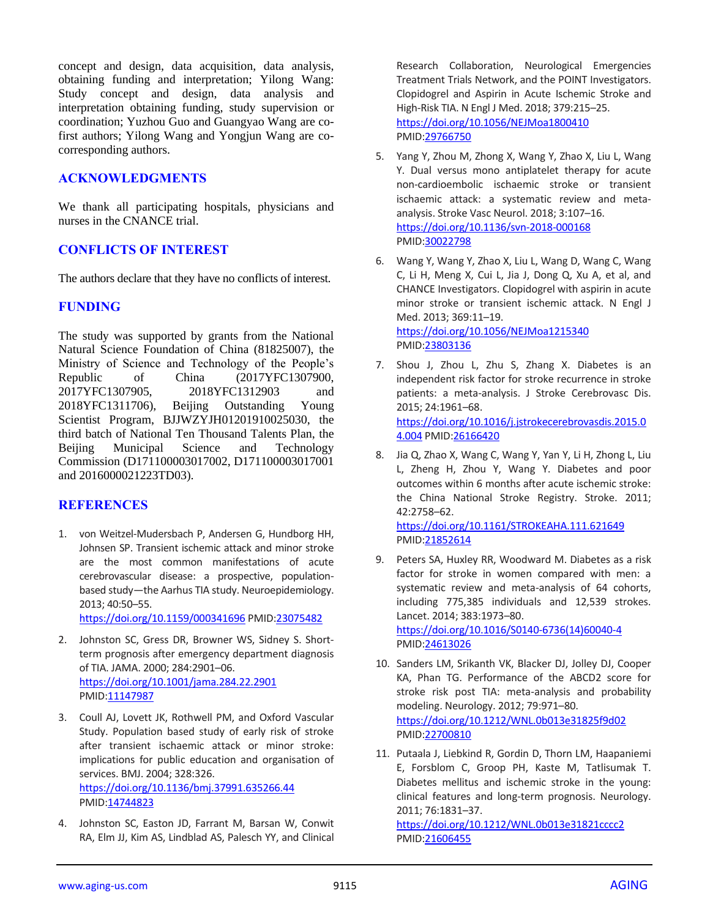concept and design, data acquisition, data analysis, obtaining funding and interpretation; Yilong Wang: Study concept and design, data analysis and interpretation obtaining funding, study supervision or coordination; Yuzhou Guo and Guangyao Wang are cofirst authors; Yilong Wang and Yongjun Wang are cocorresponding authors.

# **ACKNOWLEDGMENTS**

We thank all participating hospitals, physicians and nurses in the CNANCE trial.

# **CONFLICTS OF INTEREST**

The authors declare that they have no conflicts of interest.

# **FUNDING**

The study was supported by grants from the National Natural Science Foundation of China (81825007), the Ministry of Science and Technology of the People's Republic of China (2017YFC1307900, 2017YFC1307905, 2018YFC1312903 and 2018YFC1311706), Beijing Outstanding Young Scientist Program, BJJWZYJH01201910025030, the third batch of National Ten Thousand Talents Plan, the Beijing Municipal Science and Technology Commission (D171100003017002, D171100003017001 and 2016000021223TD03).

#### **REFERENCES**

1. von Weitzel-Mudersbach P, Andersen G, Hundborg HH, Johnsen SP. Transient ischemic attack and minor stroke are the most common manifestations of acute cerebrovascular disease: a prospective, populationbased study—the Aarhus TIA study. Neuroepidemiology. 2013; 40:50–55.

<https://doi.org/10.1159/000341696> PMID[:23075482](https://pubmed.ncbi.nlm.nih.gov/23075482)

- 2. Johnston SC, Gress DR, Browner WS, Sidney S. Shortterm prognosis after emergency department diagnosis of TIA. JAMA. 2000; 284:2901–06. <https://doi.org/10.1001/jama.284.22.2901> PMID[:11147987](https://pubmed.ncbi.nlm.nih.gov/11147987)
- 3. Coull AJ, Lovett JK, Rothwell PM, and Oxford Vascular Study. Population based study of early risk of stroke after transient ischaemic attack or minor stroke: implications for public education and organisation of services. BMJ. 2004; 328:326. <https://doi.org/10.1136/bmj.37991.635266.44> PMID[:14744823](https://pubmed.ncbi.nlm.nih.gov/14744823)
- 4. Johnston SC, Easton JD, Farrant M, Barsan W, Conwit RA, Elm JJ, Kim AS, Lindblad AS, Palesch YY, and Clinical

Research Collaboration, Neurological Emergencies Treatment Trials Network, and the POINT Investigators. Clopidogrel and Aspirin in Acute Ischemic Stroke and High-Risk TIA. N Engl J Med. 2018; 379:215–25. <https://doi.org/10.1056/NEJMoa1800410> PMI[D:29766750](https://pubmed.ncbi.nlm.nih.gov/29766750)

- 5. Yang Y, Zhou M, Zhong X, Wang Y, Zhao X, Liu L, Wang Y. Dual versus mono antiplatelet therapy for acute non-cardioembolic ischaemic stroke or transient ischaemic attack: a systematic review and metaanalysis. Stroke Vasc Neurol. 2018; 3:107–16. <https://doi.org/10.1136/svn-2018-000168> PMI[D:30022798](https://pubmed.ncbi.nlm.nih.gov/30022798)
- 6. Wang Y, Wang Y, Zhao X, Liu L, Wang D, Wang C, Wang C, Li H, Meng X, Cui L, Jia J, Dong Q, Xu A, et al, and CHANCE Investigators. Clopidogrel with aspirin in acute minor stroke or transient ischemic attack. N Engl J Med. 2013; 369:11–19.

<https://doi.org/10.1056/NEJMoa1215340> PMI[D:23803136](https://pubmed.ncbi.nlm.nih.gov/23803136)

- 7. Shou J, Zhou L, Zhu S, Zhang X. Diabetes is an independent risk factor for stroke recurrence in stroke patients: a meta-analysis. J Stroke Cerebrovasc Dis. 2015; 24:1961–68. [https://doi.org/10.1016/j.jstrokecerebrovasdis.2015.0](https://doi.org/10.1016/j.jstrokecerebrovasdis.2015.04.004) [4.004](https://doi.org/10.1016/j.jstrokecerebrovasdis.2015.04.004) PMID[:26166420](https://pubmed.ncbi.nlm.nih.gov/26166420)
- 8. Jia Q, Zhao X, Wang C, Wang Y, Yan Y, Li H, Zhong L, Liu L, Zheng H, Zhou Y, Wang Y. Diabetes and poor outcomes within 6 months after acute ischemic stroke: the China National Stroke Registry. Stroke. 2011; 42:2758–62.

<https://doi.org/10.1161/STROKEAHA.111.621649> PMI[D:21852614](https://pubmed.ncbi.nlm.nih.gov/21852614)

- 9. Peters SA, Huxley RR, Woodward M. Diabetes as a risk factor for stroke in women compared with men: a systematic review and meta-analysis of 64 cohorts, including 775,385 individuals and 12,539 strokes. Lancet. 2014; 383:1973–80. [https://doi.org/10.1016/S0140-6736\(14\)60040-4](https://doi.org/10.1016/S0140-6736(14)60040-4) PMI[D:24613026](https://pubmed.ncbi.nlm.nih.gov/24613026)
- 10. Sanders LM, Srikanth VK, Blacker DJ, Jolley DJ, Cooper KA, Phan TG. Performance of the ABCD2 score for stroke risk post TIA: meta-analysis and probability modeling. Neurology. 2012; 79:971–80. <https://doi.org/10.1212/WNL.0b013e31825f9d02> PMI[D:22700810](https://pubmed.ncbi.nlm.nih.gov/22700810)
- 11. Putaala J, Liebkind R, Gordin D, Thorn LM, Haapaniemi E, Forsblom C, Groop PH, Kaste M, Tatlisumak T. Diabetes mellitus and ischemic stroke in the young: clinical features and long-term prognosis. Neurology. 2011; 76:1831–37.

<https://doi.org/10.1212/WNL.0b013e31821cccc2> PMI[D:21606455](https://pubmed.ncbi.nlm.nih.gov/21606455)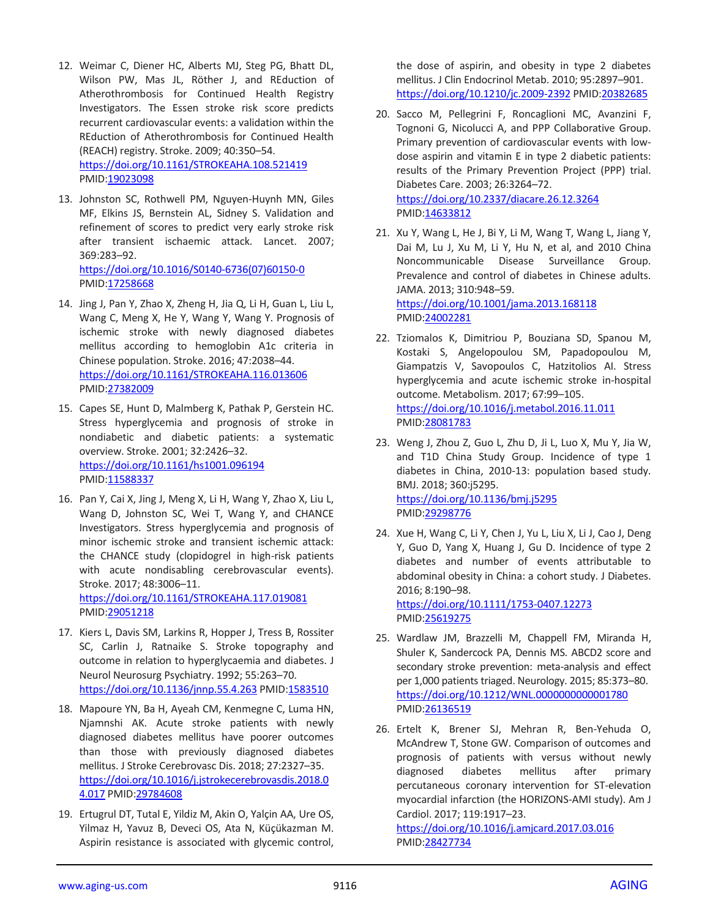- 12. Weimar C, Diener HC, Alberts MJ, Steg PG, Bhatt DL, Wilson PW, Mas JL, Röther J, and REduction of Atherothrombosis for Continued Health Registry Investigators. The Essen stroke risk score predicts recurrent cardiovascular events: a validation within the REduction of Atherothrombosis for Continued Health (REACH) registry. Stroke. 2009; 40:350–54. <https://doi.org/10.1161/STROKEAHA.108.521419> PMID[:19023098](https://pubmed.ncbi.nlm.nih.gov/19023098)
- 13. Johnston SC, Rothwell PM, Nguyen-Huynh MN, Giles MF, Elkins JS, Bernstein AL, Sidney S. Validation and refinement of scores to predict very early stroke risk after transient ischaemic attack. Lancet. 2007; 369:283–92. [https://doi.org/10.1016/S0140-6736\(07\)60150-0](https://doi.org/10.1016/S0140-6736(07)60150-0) PMID[:17258668](https://pubmed.ncbi.nlm.nih.gov/17258668)
- 14. Jing J, Pan Y, Zhao X, Zheng H, Jia Q, Li H, Guan L, Liu L, Wang C, Meng X, He Y, Wang Y, Wang Y. Prognosis of ischemic stroke with newly diagnosed diabetes mellitus according to hemoglobin A1c criteria in Chinese population. Stroke. 2016; 47:2038–44. <https://doi.org/10.1161/STROKEAHA.116.013606> PMID[:27382009](https://pubmed.ncbi.nlm.nih.gov/27382009)
- 15. Capes SE, Hunt D, Malmberg K, Pathak P, Gerstein HC. Stress hyperglycemia and prognosis of stroke in nondiabetic and diabetic patients: a systematic overview. Stroke. 2001; 32:2426–32. <https://doi.org/10.1161/hs1001.096194> PMID[:11588337](https://pubmed.ncbi.nlm.nih.gov/11588337)
- 16. Pan Y, Cai X, Jing J, Meng X, Li H, Wang Y, Zhao X, Liu L, Wang D, Johnston SC, Wei T, Wang Y, and CHANCE Investigators. Stress hyperglycemia and prognosis of minor ischemic stroke and transient ischemic attack: the CHANCE study (clopidogrel in high-risk patients with acute nondisabling cerebrovascular events). Stroke. 2017; 48:3006–11. <https://doi.org/10.1161/STROKEAHA.117.019081> PMID[:29051218](https://pubmed.ncbi.nlm.nih.gov/29051218)
- 17. Kiers L, Davis SM, Larkins R, Hopper J, Tress B, Rossiter SC, Carlin J, Ratnaike S. Stroke topography and outcome in relation to hyperglycaemia and diabetes. J Neurol Neurosurg Psychiatry. 1992; 55:263–70. <https://doi.org/10.1136/jnnp.55.4.263> PMI[D:1583510](https://pubmed.ncbi.nlm.nih.gov/1583510)
- 18. Mapoure YN, Ba H, Ayeah CM, Kenmegne C, Luma HN, Njamnshi AK. Acute stroke patients with newly diagnosed diabetes mellitus have poorer outcomes than those with previously diagnosed diabetes mellitus. J Stroke Cerebrovasc Dis. 2018; 27:2327–35. [https://doi.org/10.1016/j.jstrokecerebrovasdis.2018.0](https://doi.org/10.1016/j.jstrokecerebrovasdis.2018.04.017) [4.017](https://doi.org/10.1016/j.jstrokecerebrovasdis.2018.04.017) PMID[:29784608](https://pubmed.ncbi.nlm.nih.gov/29784608)
- 19. Ertugrul DT, Tutal E, Yildiz M, Akin O, Yalçin AA, Ure OS, Yilmaz H, Yavuz B, Deveci OS, Ata N, Küçükazman M. Aspirin resistance is associated with glycemic control,

the dose of aspirin, and obesity in type 2 diabetes mellitus. J Clin Endocrinol Metab. 2010; 95:2897–901. <https://doi.org/10.1210/jc.2009-2392> PMID[:20382685](https://pubmed.ncbi.nlm.nih.gov/20382685)

- 20. Sacco M, Pellegrini F, Roncaglioni MC, Avanzini F, Tognoni G, Nicolucci A, and PPP Collaborative Group. Primary prevention of cardiovascular events with lowdose aspirin and vitamin E in type 2 diabetic patients: results of the Primary Prevention Project (PPP) trial. Diabetes Care. 2003; 26:3264–72. <https://doi.org/10.2337/diacare.26.12.3264> PMI[D:14633812](https://pubmed.ncbi.nlm.nih.gov/14633812)
- 21. Xu Y, Wang L, He J, Bi Y, Li M, Wang T, Wang L, Jiang Y, Dai M, Lu J, Xu M, Li Y, Hu N, et al, and 2010 China Noncommunicable Disease Surveillance Group. Prevalence and control of diabetes in Chinese adults. JAMA. 2013; 310:948–59. <https://doi.org/10.1001/jama.2013.168118>

PMI[D:24002281](https://pubmed.ncbi.nlm.nih.gov/24002281)

- 22. Tziomalos K, Dimitriou P, Bouziana SD, Spanou M, Kostaki S, Angelopoulou SM, Papadopoulou M, Giampatzis V, Savopoulos C, Hatzitolios AI. Stress hyperglycemia and acute ischemic stroke in-hospital outcome. Metabolism. 2017; 67:99–105. <https://doi.org/10.1016/j.metabol.2016.11.011> PMI[D:28081783](https://pubmed.ncbi.nlm.nih.gov/28081783)
- 23. Weng J, Zhou Z, Guo L, Zhu D, Ji L, Luo X, Mu Y, Jia W, and T1D China Study Group. Incidence of type 1 diabetes in China, 2010-13: population based study. BMJ. 2018; 360:j5295. <https://doi.org/10.1136/bmj.j5295> PMI[D:29298776](https://pubmed.ncbi.nlm.nih.gov/29298776)
- 24. Xue H, Wang C, Li Y, Chen J, Yu L, Liu X, Li J, Cao J, Deng Y, Guo D, Yang X, Huang J, Gu D. Incidence of type 2 diabetes and number of events attributable to abdominal obesity in China: a cohort study. J Diabetes. 2016; 8:190–98. <https://doi.org/10.1111/1753-0407.12273>

PMI[D:25619275](https://pubmed.ncbi.nlm.nih.gov/25619275)

- 25. Wardlaw JM, Brazzelli M, Chappell FM, Miranda H, Shuler K, Sandercock PA, Dennis MS. ABCD2 score and secondary stroke prevention: meta-analysis and effect per 1,000 patients triaged. Neurology. 2015; 85:373–80. <https://doi.org/10.1212/WNL.0000000000001780> PMI[D:26136519](https://pubmed.ncbi.nlm.nih.gov/26136519)
- 26. Ertelt K, Brener SJ, Mehran R, Ben-Yehuda O, McAndrew T, Stone GW. Comparison of outcomes and prognosis of patients with versus without newly diagnosed diabetes mellitus after primary percutaneous coronary intervention for ST-elevation myocardial infarction (the HORIZONS-AMI study). Am J Cardiol. 2017; 119:1917–23.

<https://doi.org/10.1016/j.amjcard.2017.03.016> PMI[D:28427734](https://pubmed.ncbi.nlm.nih.gov/28427734)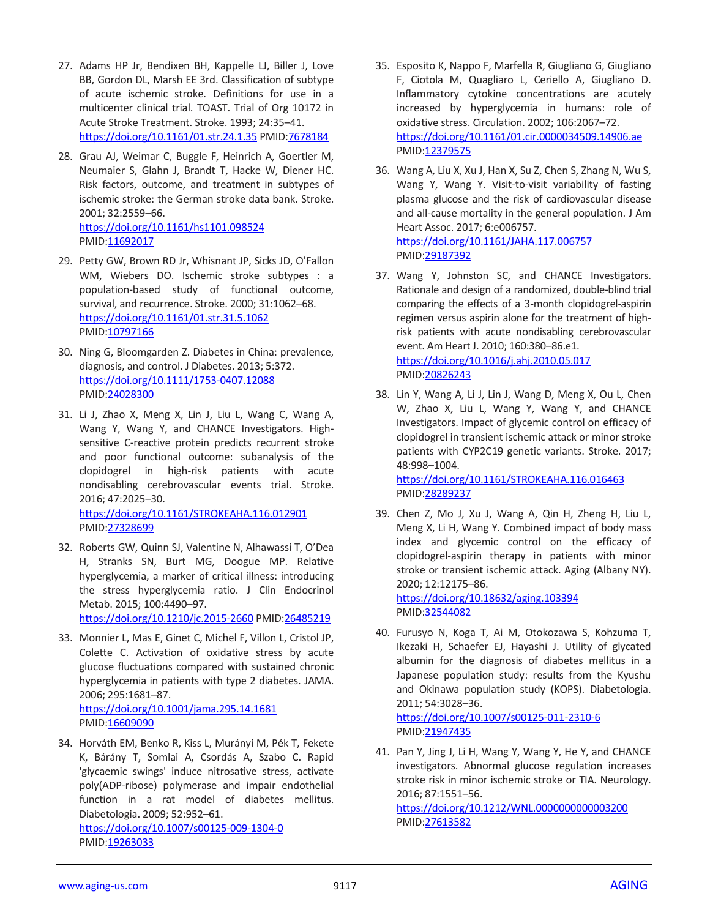- 27. Adams HP Jr, Bendixen BH, Kappelle LJ, Biller J, Love BB, Gordon DL, Marsh EE 3rd. Classification of subtype of acute ischemic stroke. Definitions for use in a multicenter clinical trial. TOAST. Trial of Org 10172 in Acute Stroke Treatment. Stroke. 1993; 24:35–41. <https://doi.org/10.1161/01.str.24.1.35> PMI[D:7678184](https://pubmed.ncbi.nlm.nih.gov/7678184)
- 28. Grau AJ, Weimar C, Buggle F, Heinrich A, Goertler M, Neumaier S, Glahn J, Brandt T, Hacke W, Diener HC. Risk factors, outcome, and treatment in subtypes of ischemic stroke: the German stroke data bank. Stroke. 2001; 32:2559–66. <https://doi.org/10.1161/hs1101.098524>
- PMID[:11692017](https://pubmed.ncbi.nlm.nih.gov/11692017) 29. Petty GW, Brown RD Jr, Whisnant JP, Sicks JD, O'Fallon
- WM, Wiebers DO. Ischemic stroke subtypes : a population-based study of functional outcome, survival, and recurrence. Stroke. 2000; 31:1062–68. <https://doi.org/10.1161/01.str.31.5.1062> PMID[:10797166](https://pubmed.ncbi.nlm.nih.gov/10797166)
- 30. Ning G, Bloomgarden Z. Diabetes in China: prevalence, diagnosis, and control. J Diabetes. 2013; 5:372. <https://doi.org/10.1111/1753-0407.12088> PMID[:24028300](https://pubmed.ncbi.nlm.nih.gov/24028300)
- 31. Li J, Zhao X, Meng X, Lin J, Liu L, Wang C, Wang A, Wang Y, Wang Y, and CHANCE Investigators. Highsensitive C-reactive protein predicts recurrent stroke and poor functional outcome: subanalysis of the clopidogrel in high-risk patients with acute nondisabling cerebrovascular events trial. Stroke. 2016; 47:2025–30. <https://doi.org/10.1161/STROKEAHA.116.012901> PMID[:27328699](https://pubmed.ncbi.nlm.nih.gov/27328699)
- 32. Roberts GW, Quinn SJ, Valentine N, Alhawassi T, O'Dea H, Stranks SN, Burt MG, Doogue MP. Relative hyperglycemia, a marker of critical illness: introducing the stress hyperglycemia ratio. J Clin Endocrinol Metab. 2015; 100:4490–97.

<https://doi.org/10.1210/jc.2015-2660> PMID[:26485219](https://pubmed.ncbi.nlm.nih.gov/26485219)

- 33. Monnier L, Mas E, Ginet C, Michel F, Villon L, Cristol JP, Colette C. Activation of oxidative stress by acute glucose fluctuations compared with sustained chronic hyperglycemia in patients with type 2 diabetes. JAMA. 2006; 295:1681–87. <https://doi.org/10.1001/jama.295.14.1681> PMID[:16609090](https://pubmed.ncbi.nlm.nih.gov/16609090)
- 34. Horváth EM, Benko R, Kiss L, Murányi M, Pék T, Fekete K, Bárány T, Somlai A, Csordás A, Szabo C. Rapid 'glycaemic swings' induce nitrosative stress, activate poly(ADP-ribose) polymerase and impair endothelial function in a rat model of diabetes mellitus. Diabetologia. 2009; 52:952–61.

<https://doi.org/10.1007/s00125-009-1304-0> PMID: 19263033

- 35. Esposito K, Nappo F, Marfella R, Giugliano G, Giugliano F, Ciotola M, Quagliaro L, Ceriello A, Giugliano D. Inflammatory cytokine concentrations are acutely increased by hyperglycemia in humans: role of oxidative stress. Circulation. 2002; 106:2067–72. <https://doi.org/10.1161/01.cir.0000034509.14906.ae> PMI[D:12379575](https://pubmed.ncbi.nlm.nih.gov/12379575)
- 36. Wang A, Liu X, Xu J, Han X, Su Z, Chen S, Zhang N, Wu S, Wang Y, Wang Y. Visit-to-visit variability of fasting plasma glucose and the risk of cardiovascular disease and all-cause mortality in the general population. J Am Heart Assoc. 2017; 6:e006757. <https://doi.org/10.1161/JAHA.117.006757> PMI[D:29187392](https://pubmed.ncbi.nlm.nih.gov/29187392)
- 37. Wang Y, Johnston SC, and CHANCE Investigators. Rationale and design of a randomized, double-blind trial comparing the effects of a 3-month clopidogrel-aspirin regimen versus aspirin alone for the treatment of highrisk patients with acute nondisabling cerebrovascular event. Am Heart J. 2010; 160:380–86.e1. <https://doi.org/10.1016/j.ahj.2010.05.017> PMI[D:20826243](https://pubmed.ncbi.nlm.nih.gov/20826243)
- 38. Lin Y, Wang A, Li J, Lin J, Wang D, Meng X, Ou L, Chen W, Zhao X, Liu L, Wang Y, Wang Y, and CHANCE Investigators. Impact of glycemic control on efficacy of clopidogrel in transient ischemic attack or minor stroke patients with CYP2C19 genetic variants. Stroke. 2017; 48:998–1004.

<https://doi.org/10.1161/STROKEAHA.116.016463> PMI[D:28289237](https://pubmed.ncbi.nlm.nih.gov/28289237)

39. Chen Z, Mo J, Xu J, Wang A, Qin H, Zheng H, Liu L, Meng X, Li H, Wang Y. Combined impact of body mass index and glycemic control on the efficacy of clopidogrel-aspirin therapy in patients with minor stroke or transient ischemic attack. Aging (Albany NY). 2020; 12:12175–86.

<https://doi.org/10.18632/aging.103394> PMI[D:32544082](https://pubmed.ncbi.nlm.nih.gov/32544082)

40. Furusyo N, Koga T, Ai M, Otokozawa S, Kohzuma T, Ikezaki H, Schaefer EJ, Hayashi J. Utility of glycated albumin for the diagnosis of diabetes mellitus in a Japanese population study: results from the Kyushu and Okinawa population study (KOPS). Diabetologia. 2011; 54:3028–36.

<https://doi.org/10.1007/s00125-011-2310-6> PMI[D:21947435](https://pubmed.ncbi.nlm.nih.gov/21947435)

41. Pan Y, Jing J, Li H, Wang Y, Wang Y, He Y, and CHANCE investigators. Abnormal glucose regulation increases stroke risk in minor ischemic stroke or TIA. Neurology. 2016; 87:1551–56.

<https://doi.org/10.1212/WNL.0000000000003200> PMI[D:27613582](https://pubmed.ncbi.nlm.nih.gov/27613582)